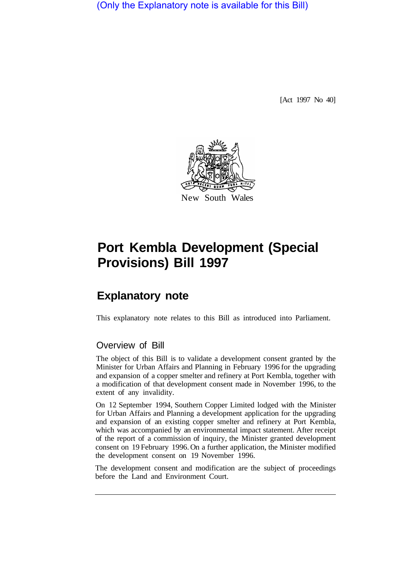(Only the Explanatory note is available for this Bill)

[Act 1997 No 40]



## **Port Kembla Development (Special Provisions) Bill 1997**

## **Explanatory note**

This explanatory note relates to this Bill as introduced into Parliament.

## Overview of Bill

The object of this Bill is to validate a development consent granted by the Minister for Urban Affairs and Planning in February 1996 for the upgrading and expansion of a copper smelter and refinery at Port Kembla, together with a modification of that development consent made in November 1996, to the extent of any invalidity.

On 12 September 1994, Southern Copper Limited lodged with the Minister for Urban Affairs and Planning a development application for the upgrading and expansion of an existing copper smelter and refinery at Port Kembla, which was accompanied by an environmental impact statement. After receipt of the report of a commission of inquiry, the Minister granted development consent on 19 February 1996. On a further application, the Minister modified the development consent on 19 November 1996.

The development consent and modification are the subject of proceedings before the Land and Environment Court.